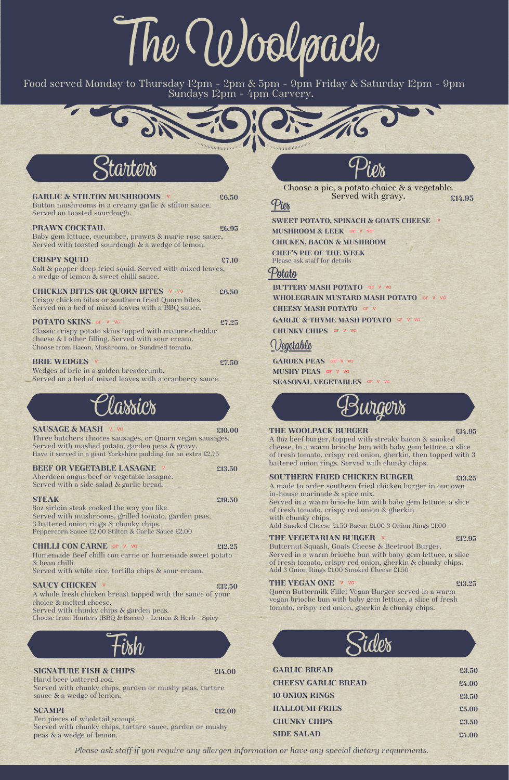Three butchers choices sausages, or Quorn vegan sausages. Served with mashed potato, garden peas & gravy. Have it served in a giant Yorkshire pudding for an extra £2.75

#### **BEEF OR VEGETABLE LASAGNE £13.50**

Aberdeen angus beef or vegetable lasagne. Served with a side salad & garlic bread.

**STEAK £19.50** 8oz sirloin steak cooked the way you like. Served with mushrooms, grilled tomato, garden peas, 3 battered onion rings & chunky chips. Peppercorn Sauce £2.00 Stilton & Garlic Sauce £2.00

#### **CHILLI CON CARNE £12.25**

Homemade Beef chilli con carne or homemade sweet potato & bean chilli.



A whole fresh chicken breast topped with the sauce of your choice & melted cheese. Served with chunky chips & garden peas.

**POTATO SKINS** GF V VG **£7.25** Classic crispy potato skins topped with mature cheddar cheese & 1 other filling. Served with sour cream. Choose from Bacon, Mushroom, or Sundried tomato.

#### **BRIE** WEDGES **v** £7.50

Choose from Hunters (BBQ & Bacon) - Lemon & Herb - Spicy

*Please ask staff if you require any allergen information or have any special dietary requirments.*

**GARLIC & STILTON MUSHROOMS £6.50** Button mushrooms in a creamy garlic & stilton sauce. Served on toasted sourdough.

Served with chunky chips, garden or mushy peas, tartare sauce & a wedge of lemon.

#### **PRAWN COCKTAIL £6.95** Baby gem lettuce, cucumber, prawns & marie rose sauce.

Served with toasted sourdough & a wedge of lemon.

#### **CRISPY SQUID £7.10**

Salt & pepper deep fried squid. Served with mixed leaves, a wedge of lemon & sweet chilli sauce.

> **GARDEN PEAS** GF V VG **MUSHY PEAS SEASONAL VEGETABLES**

**CHICKEN BITES OR QUORN BITES £6.50** Crispy chicken bites or southern fried Quorn bites. Served on a bed of mixed leaves with a BBQ sauce.

Served in a warm brioche bun with baby gem lettuce, a slice of fresh tomato, crispy red onion & gherkin with chunky chips.

Wedges of brie in a golden breadcrumb. Served on a bed of mixed leaves with a cranberry sauce.

# TheWoolpack

Food served Monday to Thursday 12pm - 2pm & 5pm - 9pm Friday & Saturday 12pm - 9pm Sundays 12pm - 4pm Carvery.



| <b>GARLIC BREAD</b>        | £3.50 |
|----------------------------|-------|
| <b>CHEESY GARLIC BREAD</b> | £4.00 |
| <b>10 ONION RINGS</b>      | £3.50 |
| <b>HALLOUMI FRIES</b>      | £5.00 |
| <b>CHUNKY CHIPS</b>        | £3.50 |
| <b>SIDE SALAD</b>          | £4.00 |

Hand beer battered cod.

#### **SCAMPI £12.00**

Ten pieces of wholetail scampi. Served with chunky chips, tartare sauce, garden or mushy peas & a wedge of lemon.

**SWEET POTATO, SPINACH & GOATS CHEESE**

# **SIGNATURE FISH & CHIPS £14.00** Fish

**MUSHROOM & LEEK CHICKEN, BACON & MUSHROOM CHEF'S PIE OF THE WEEK** Please ask staff for details

**BUTTERY MASH POTATO WHOLEGRAIN MUSTARD MASH POTATO CHEESY MASH POTATO GARLIC & THYME MASH POTATO CHUNKY CHIPS**



## **Pies**

### **Potato**

## Vegetable



#### **SAUSAGE & MASH v vc** *c***<sub>10.00</sub> <b>***c<sub>10.00</sub>*



#### **THE WOOLPACK BURGER £14.95**

A 8oz beef burger, topped with streaky bacon & smoked cheese. In a warm brioche bun with baby gem lettuce, a slice of fresh tomato, crispy red onion, gherkin, then topped with 3 battered onion rings. Served with chunky chips.

#### **SOUTHERN FRIED CHICKEN BURGER £13.25**

A made to order southern fried chicken burger in our own in-house marinade & spice mix.

Choose a pie, a potato choice & a vegetable. Served with gravy. **£14.95**

Add Smoked Cheese £1.50 Bacon £1.00 3 Onion Rings £1.00

#### **THE VEGETARIAN BURGER £12.95**

Butternut Squash, Goats Cheese & Beetroot Burger. Served in a warm brioche bun with baby gem lettuce, a slice of fresh tomato, crispy red onion, gherkin & chunky chips.

#### Served with white rice, tortilla chips & sour cream.

#### **SAUCY CHICKEN v** £12.50

Add 3 Onion Rings £1.00 Smoked Cheese £1.50

#### **THE VEGAN ONE £13.25**

Quorn Buttermilk Fillet Vegan Burger served in a warm vegan brioche bun with baby gem lettuce, a slice of fresh tomato, crispy red onion, gherkin & chunky chips.